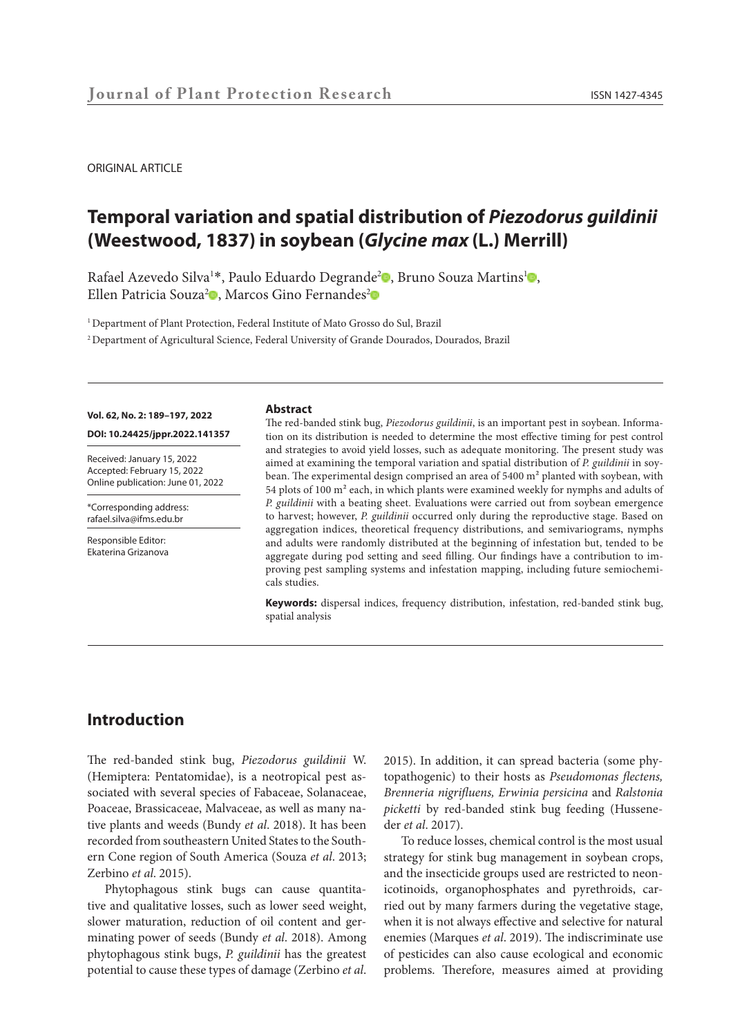#### ORIGINAL ARTICLE

# **Temporal variation and spatial distribution of** *Piezodorus guildinii*  **(Weestwood, 1837) in soybean (***Glycine max* **(L.) Merrill)**

R[a](https://orcid.org/0000-0002-8989-181X)fael Azevedo Silva<sup>1\*</sup>, Paulo Eduardo Degrande<sup>2</sup> , Bruno Souza Martins<sup>1</sup> , Ellen Patricia Souza<sup>2</sup>[.](https://orcid.org/0000-0003-4377-5562) Marcos Gino Fernandes<sup>2</sup>

<sup>1</sup> Department of Plant Protection, Federal Institute of Mato Grosso do Sul, Brazil

2 Department of Agricultural Science, Federal University of Grande Dourados, Dourados, Brazil

#### **Vol. 62, No. 2: 189–197, 2022**

**DOI: 10.24425/jppr.2022.141357**

Received: January 15, 2022 Accepted: February 15, 2022 Online publication: June 01, 2022

\*Corresponding address: rafael.silva@ifms.edu.br

Responsible Editor: Ekaterina Grizanova

#### **Abstract**

The red-banded stink bug, *Piezodorus guildinii*, is an important pest in soybean. Information on its distribution is needed to determine the most effective timing for pest control and strategies to avoid yield losses, such as adequate monitoring. The present study was aimed at examining the temporal variation and spatial distribution of *P. guildinii* in soybean. The experimental design comprised an area of 5400 m² planted with soybean, with 54 plots of 100 m² each, in which plants were examined weekly for nymphs and adults of *P. guildinii* with a beating sheet. Evaluations were carried out from soybean emergence to harvest; however, *P. guildinii* occurred only during the reproductive stage. Based on aggregation indices, theoretical frequency distributions, and semivariograms, nymphs and adults were randomly distributed at the beginning of infestation but, tended to be aggregate during pod setting and seed filling. Our findings have a contribution to improving pest sampling systems and infestation mapping, including future semiochemicals studies.

**Keywords:** dispersal indices, frequency distribution, infestation, red-banded stink bug, spatial analysis

# **Introduction**

The red-banded stink bug, *Piezodorus guildinii* W. (Hemiptera: Pentatomidae), is a neotropical pest associated with several species of Fabaceae, Solanaceae, Poaceae, Brassicaceae, Malvaceae, as well as many native plants and weeds (Bundy *et al*. 2018). It has been recorded from southeastern United States to the Southern Cone region of South America (Souza *et al*. 2013; Zerbino *et al*. 2015).

Phytophagous stink bugs can cause quantitative and qualitative losses, such as lower seed weight, slower maturation, reduction of oil content and germinating power of seeds (Bundy *et al*. 2018). Among phytophagous stink bugs, *P. guildinii* has the greatest potential to cause these types of damage (Zerbino *et al*. 2015). In addition, it can spread bacteria (some phytopathogenic) to their hosts as *Pseudomonas flectens, Brenneria nigrifluens, Erwinia persicina* and *Ralstonia picketti* by red-banded stink bug feeding (Husseneder *et al*. 2017).

To reduce losses, chemical control is the most usual strategy for stink bug management in soybean crops, and the insecticide groups used are restricted to neonicotinoids, organophosphates and pyrethroids, carried out by many farmers during the vegetative stage, when it is not always effective and selective for natural enemies (Marques *et al*. 2019). The indiscriminate use of pesticides can also cause ecological and economic problems. Therefore, measures aimed at providing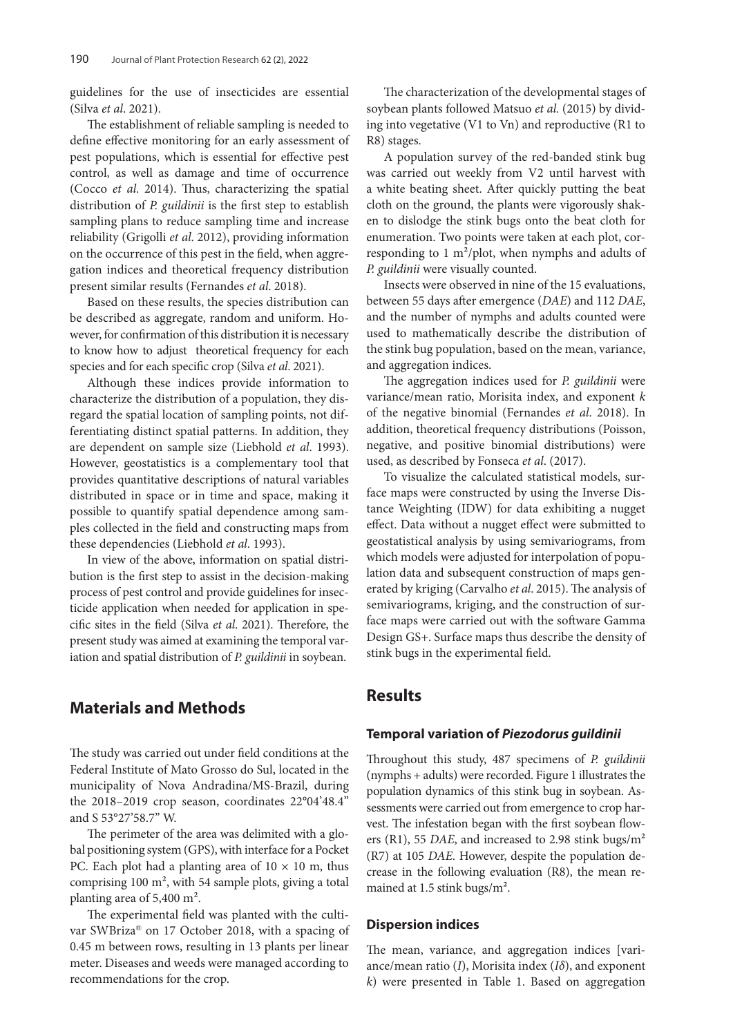guidelines for the use of insecticides are essential (Silva *et al*. 2021).

The establishment of reliable sampling is needed to define effective monitoring for an early assessment of pest populations, which is essential for effective pest control, as well as damage and time of occurrence (Cocco *et al*. 2014). Thus, characterizing the spatial distribution of *P. guildinii* is the first step to establish sampling plans to reduce sampling time and increase reliability (Grigolli *et al*. 2012), providing information on the occurrence of this pest in the field, when aggregation indices and theoretical frequency distribution present similar results (Fernandes *et al*. 2018).

Based on these results, the species distribution can be described as aggregate, random and uniform. However, for confirmation of this distribution it is necessary to know how to adjust theoretical frequency for each species and for each specific crop (Silva *et al*. 2021).

Although these indices provide information to characterize the distribution of a population, they disregard the spatial location of sampling points, not differentiating distinct spatial patterns. In addition, they are dependent on sample size (Liebhold *et al*. 1993). However, geostatistics is a complementary tool that provides quantitative descriptions of natural variables distributed in space or in time and space, making it possible to quantify spatial dependence among samples collected in the field and constructing maps from these dependencies (Liebhold *et al*. 1993).

In view of the above, information on spatial distribution is the first step to assist in the decision-making process of pest control and provide guidelines for insecticide application when needed for application in specific sites in the field (Silva *et al*. 2021). Therefore, the present study was aimed at examining the temporal variation and spatial distribution of *P. guildinii* in soybean.

# **Materials and Methods**

The study was carried out under field conditions at the Federal Institute of Mato Grosso do Sul, located in the municipality of Nova Andradina/MS-Brazil, during the 2018–2019 crop season, coordinates 22°04'48.4" and S 53°27'58.7" W.

The perimeter of the area was delimited with a global positioning system (GPS), with interface for a Pocket PC. Each plot had a planting area of  $10 \times 10$  m, thus comprising 100 m², with 54 sample plots, giving a total planting area of 5,400 m².

The experimental field was planted with the cultivar SWBriza® on 17 October 2018, with a spacing of 0.45 m between rows, resulting in 13 plants per linear meter. Diseases and weeds were managed according to recommendations for the crop.

The characterization of the developmental stages of soybean plants followed Matsuo et al. (2015) by dividing into vegetative (V1 to Vn) and reproductive (R1 to R8) stages.

A population survey of the red-banded stink bug was carried out weekly from V2 until harvest with a white beating sheet. After quickly putting the beat cloth on the ground, the plants were vigorously shaken to dislodge the stink bugs onto the beat cloth for enumeration. Two points were taken at each plot, corresponding to 1 m²/plot, when nymphs and adults of *P. guildinii* were visually counted.

Insects were observed in nine of the 15 evaluations, between 55 days after emergence (*DAE*) and 112 *DAE*, and the number of nymphs and adults counted were used to mathematically describe the distribution of the stink bug population, based on the mean, variance, and aggregation indices.

The aggregation indices used for *P. guildinii* were variance/mean ratio, Morisita index, and exponent *k* of the negative binomial (Fernandes *et al*. 2018). In addition, theoretical frequency distributions (Poisson, negative, and positive binomial distributions) were used, as described by Fonseca *et al*. (2017).

To visualize the calculated statistical models, surface maps were constructed by using the Inverse Distance Weighting (IDW) for data exhibiting a nugget effect. Data without a nugget effect were submitted to geostatistical analysis by using semivariograms, from which models were adjusted for interpolation of population data and subsequent construction of maps generated by kriging (Carvalho *et al*. 2015). The analysis of semivariograms, kriging, and the construction of surface maps were carried out with the software Gamma Design GS+. Surface maps thus describe the density of stink bugs in the experimental field.

# **Results**

### **Temporal variation of** *Piezodorus guildinii*

Throughout this study, 487 specimens of *P. guildinii* (nymphs + adults) were recorded. Figure 1 illustrates the population dynamics of this stink bug in soybean. Assessments were carried out from emergence to crop harvest. The infestation began with the first soybean flowers (R1), 55 *DAE*, and increased to 2.98 stink bugs/m² (R7) at 105 *DAE*. However, despite the population decrease in the following evaluation (R8), the mean remained at 1.5 stink bugs/m².

### **Dispersion indices**

The mean, variance, and aggregation indices [variance/mean ratio (*I*), Morisita index (*Iδ*), and exponent *k*) were presented in Table 1. Based on aggregation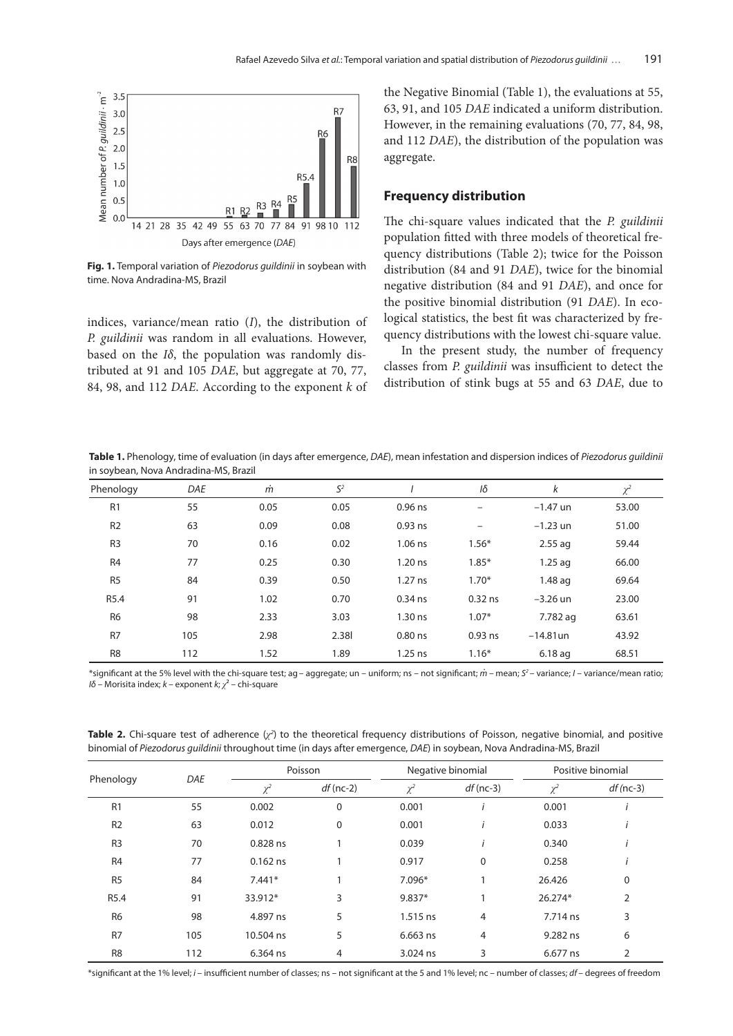

**Fig. 1.** Temporal variation of *Piezodorus guildinii* in soybean with time. Nova Andradina-MS, Brazil

indices, variance/mean ratio (*I*), the distribution of *P. guildinii* was random in all evaluations. However, based on the *Iδ*, the population was randomly distributed at 91 and 105 *DAE*, but aggregate at 70, 77, 84, 98, and 112 *DAE*. According to the exponent *k* of the Negative Binomial (Table 1), the evaluations at 55, 63, 91, and 105 *DAE* indicated a uniform distribution. However, in the remaining evaluations (70, 77, 84, 98, and 112 *DAE*), the distribution of the population was aggregate.

#### **Frequency distribution**

The chi-square values indicated that the *P. guildinii*  population fitted with three models of theoretical frequency distributions (Table 2); twice for the Poisson distribution (84 and 91 *DAE*), twice for the binomial negative distribution (84 and 91 *DAE*), and once for the positive binomial distribution (91 *DAE*). In ecological statistics, the best fit was characterized by frequency distributions with the lowest chi-square value.

In the present study, the number of frequency classes from *P. guildinii* was insufficient to detect the distribution of stink bugs at 55 and 63 *DAE*, due to

**Table 1.** Phenology, time of evaluation (in days after emergence, *DAE*), mean infestation and dispersion indices of *Piezodorus guildinii* in soybean, Nova Andradina-MS, Brazil

| Phenology        | DAE | $\dot{m}$ | $S^2$ |           | Iδ                       | k           | $\chi^2$ |
|------------------|-----|-----------|-------|-----------|--------------------------|-------------|----------|
| R <sub>1</sub>   | 55  | 0.05      | 0.05  | $0.96$ ns | $\overline{\phantom{0}}$ | $-1.47$ un  | 53.00    |
| R <sub>2</sub>   | 63  | 0.09      | 0.08  | $0.93$ ns | -                        | $-1.23$ un  | 51.00    |
| R <sub>3</sub>   | 70  | 0.16      | 0.02  | $1.06$ ns | $1.56*$                  | $2.55$ ag   | 59.44    |
| R <sub>4</sub>   | 77  | 0.25      | 0.30  | $1.20$ ns | $1.85*$                  | $1.25$ ag   | 66.00    |
| R <sub>5</sub>   | 84  | 0.39      | 0.50  | $1.27$ ns | $1.70*$                  | $1.48$ ag   | 69.64    |
| R <sub>5.4</sub> | 91  | 1.02      | 0.70  | $0.34$ ns | $0.32$ ns                | $-3.26$ un  | 23.00    |
| R <sub>6</sub>   | 98  | 2.33      | 3.03  | $1.30$ ns | $1.07*$                  | 7.782 ag    | 63.61    |
| R <sub>7</sub>   | 105 | 2.98      | 2.38  | $0.80$ ns | $0.93$ ns                | $-14.81$ un | 43.92    |
| R <sub>8</sub>   | 112 | 1.52      | 1.89  | $1.25$ ns | $1.16*$                  | $6.18$ ag   | 68.51    |

\*significant at the 5% level with the chi-square test; ag– aggregate; un – uniform; ns – not significant; *m .* – mean; *S2* – variance; *I* – variance/mean ratio; *Iδ* – Morisita index; *k –* exponent *k*; *χ*² – chi-square

Phenology *DAE* Poisson Negative binomial Positive binomial *χ<sup>2</sup> df* (nc-2) *χ<sup>2</sup> df* (nc-3) *χ<sup>2</sup> df (*nc-3) R1 55 0.002 0 0.001 *i* 0.001 *i* R2 63 0.012 0 0.001 *i* 0.033 *i* R3 70 0.828 ns 1 0.039 *i* 0.340 *i* R4 77 0.162 ns 1 0.917 0 0.258 *i* R5 84 7.441\* 1 7.096\* 1 26.426 0 R5.4 91 33.912\* 3 9.837\* 1 26.274\* 2 R6 98 4.897 ns 5 1.515 ns 4 7.714 ns 3 R7 105 10.504 ns 5 6.663 ns 4 9.282 ns 6 R8 112 6.364 ns 4 3.024 ns 3 6.677 ns 2

**Table 2.** Chi-square test of adherence (χ<sup>2</sup>) to the theoretical frequency distributions of Poisson, negative binomial, and positive binomial of *Piezodorus guildinii* throughout time (in days after emergence, *DAE*) in soybean, Nova Andradina-MS, Brazil

\*significant at the 1% level; *i* – insufficient number of classes; ns – not significant at the 5 and 1% level; nc – number of classes; *df* – degrees of freedom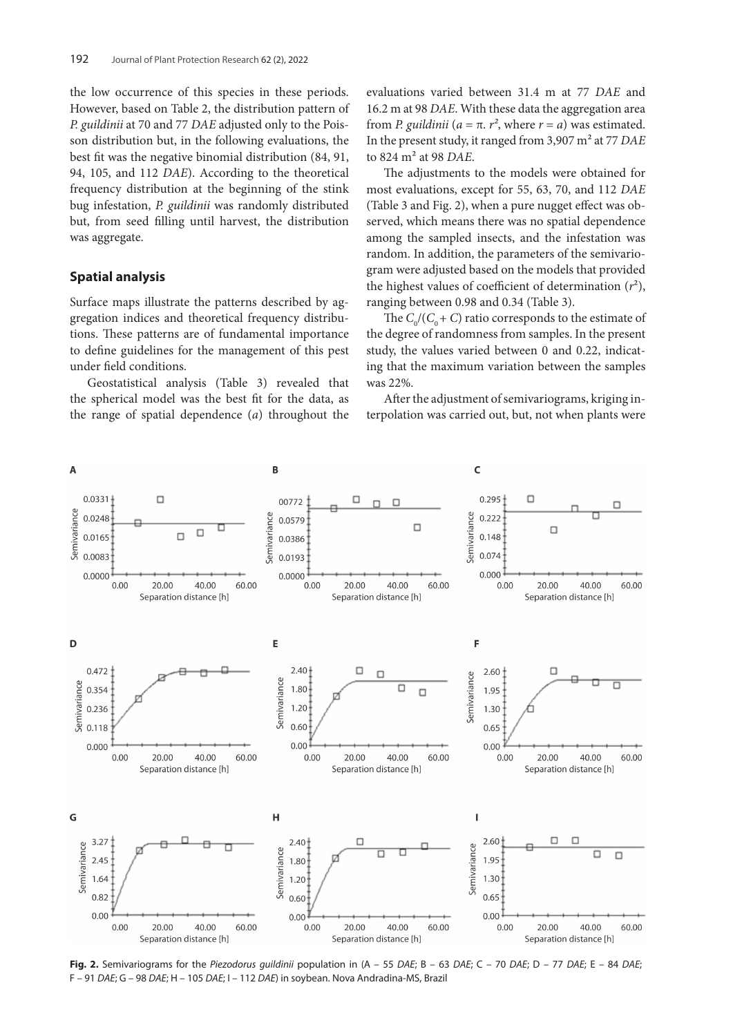the low occurrence of this species in these periods. However, based on Table 2, the distribution pattern of *P. guildinii* at 70 and 77 *DAE* adjusted only to the Poisson distribution but, in the following evaluations, the best fit was the negative binomial distribution (84, 91, 94, 105, and 112 *DAE*). According to the theoretical frequency distribution at the beginning of the stink bug infestation, *P. guildinii* was randomly distributed but, from seed filling until harvest, the distribution was aggregate.

#### **Spatial analysis**

Surface maps illustrate the patterns described by aggregation indices and theoretical frequency distributions. These patterns are of fundamental importance to define guidelines for the management of this pest under field conditions.

Geostatistical analysis (Table 3) revealed that the spherical model was the best fit for the data, as the range of spatial dependence (*a*) throughout the evaluations varied between 31.4 m at 77 *DAE* and 16.2 m at 98 *DAE*. With these data the aggregation area from *P. guildinii* ( $a = π$ .  $r^2$ , where  $r = a$ ) was estimated. In the present study, it ranged from 3,907 m² at 77 *DAE* to 824 m² at 98 *DAE*.

The adjustments to the models were obtained for most evaluations, except for 55, 63, 70, and 112 *DAE* (Table 3 and Fig. 2), when a pure nugget effect was observed, which means there was no spatial dependence among the sampled insects, and the infestation was random. In addition, the parameters of the semivariogram were adjusted based on the models that provided the highest values of coefficient of determination  $(r^2)$ , ranging between 0.98 and 0.34 (Table 3).

The  $C_0 / (C_0 + C)$  ratio corresponds to the estimate of the degree of randomness from samples. In the present study, the values varied between 0 and 0.22, indicating that the maximum variation between the samples was 22%.

After the adjustment of semivariograms, kriging interpolation was carried out, but, not when plants were



**Fig. 2.** Semivariograms for the *Piezodorus guildinii* population in (A – 55 *DAE*; B – 63 *DAE*; C – 70 *DAE*; D – 77 *DAE*; E – 84 *DAE*; F – 91 *DAE*; G – 98 *DAE*; H – 105 *DAE*; I – 112 *DAE*) in soybean. Nova Andradina-MS, Brazil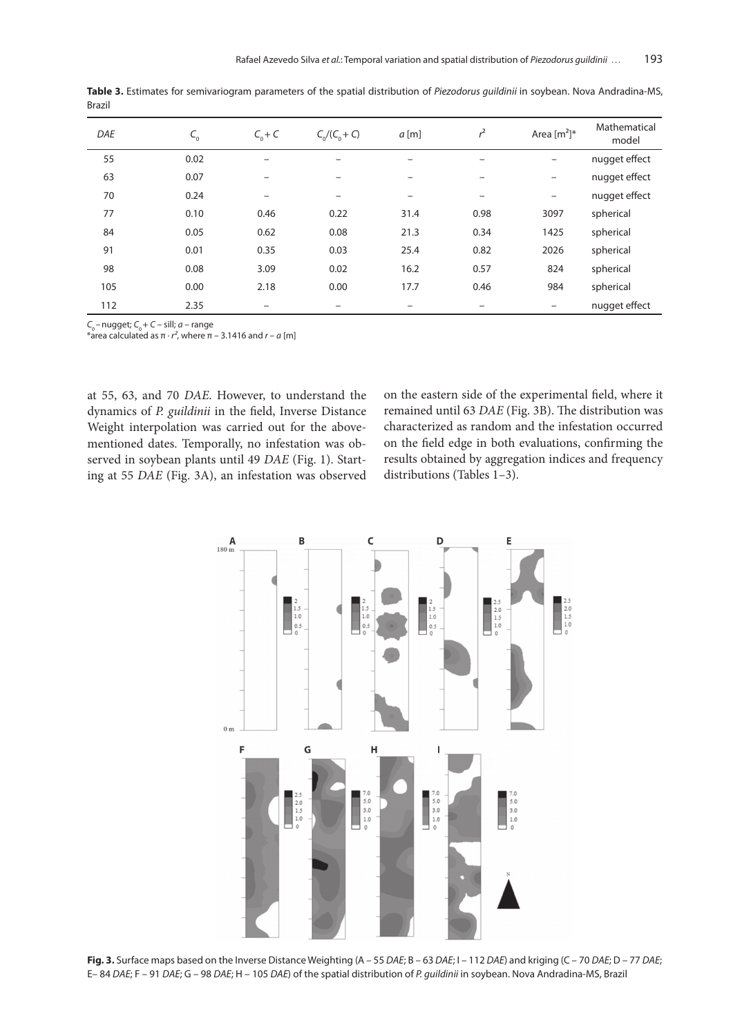| <b>DAE</b> | $C_{_{0}}$ | $C_{0} + C$              | $C_0/(C_0 + C)$ | $a$ [m] | $r^2$                    | Area $[m^2]^*$    | Mathematical<br>model |
|------------|------------|--------------------------|-----------------|---------|--------------------------|-------------------|-----------------------|
| 55         | 0.02       | -                        |                 | -       |                          |                   | nugget effect         |
| 63         | 0.07       | $\overline{\phantom{0}}$ |                 | -       |                          |                   | nugget effect         |
| 70         | 0.24       | $\overline{\phantom{0}}$ | $\qquad \qquad$ | -       | $\overline{\phantom{0}}$ | $\qquad \qquad -$ | nugget effect         |
| 77         | 0.10       | 0.46                     | 0.22            | 31.4    | 0.98                     | 3097              | spherical             |
| 84         | 0.05       | 0.62                     | 0.08            | 21.3    | 0.34                     | 1425              | spherical             |
| 91         | 0.01       | 0.35                     | 0.03            | 25.4    | 0.82                     | 2026              | spherical             |
| 98         | 0.08       | 3.09                     | 0.02            | 16.2    | 0.57                     | 824               | spherical             |
| 105        | 0.00       | 2.18                     | 0.00            | 17.7    | 0.46                     | 984               | spherical             |
| 112        | 2.35       | $\overline{\phantom{0}}$ |                 | -       | $\overline{\phantom{0}}$ |                   | nugget effect         |

**Table 3.** Estimates for semivariogram parameters of the spatial distribution of *Piezodorus guildinii* in soybean. Nova Andradina-MS, Brazil

 $C_0$  – nugget;  $C_0$  + *C* – sill; *a* – range

 $*$ area calculated as  $\pi \cdot r^2$ , where  $\pi$  – 3.1416 and  $r$  – a [m]

at 55, 63, and 70 *DAE*. However, to understand the dynamics of *P. guildinii* in the field, Inverse Distance Weight interpolation was carried out for the abovementioned dates. Temporally, no infestation was observed in soybean plants until 49 *DAE* (Fig. 1). Starting at 55 *DAE* (Fig. 3A), an infestation was observed

on the eastern side of the experimental field, where it remained until 63 *DAE* (Fig. 3B). The distribution was characterized as random and the infestation occurred on the field edge in both evaluations, confirming the results obtained by aggregation indices and frequency distributions (Tables 1–3).



**Fig. 3.** Surface maps based on the Inverse Distance Weighting (A – 55 *DAE*; B – 63 *DAE*; I – 112 *DAE*) and kriging (C – 70 *DAE*; D – 77 *DAE*; E– 84 *DAE*; F – 91 *DAE*; G – 98 *DAE*; H – 105 *DAE*) of the spatial distribution of *P. guildinii* in soybean. Nova Andradina-MS, Brazil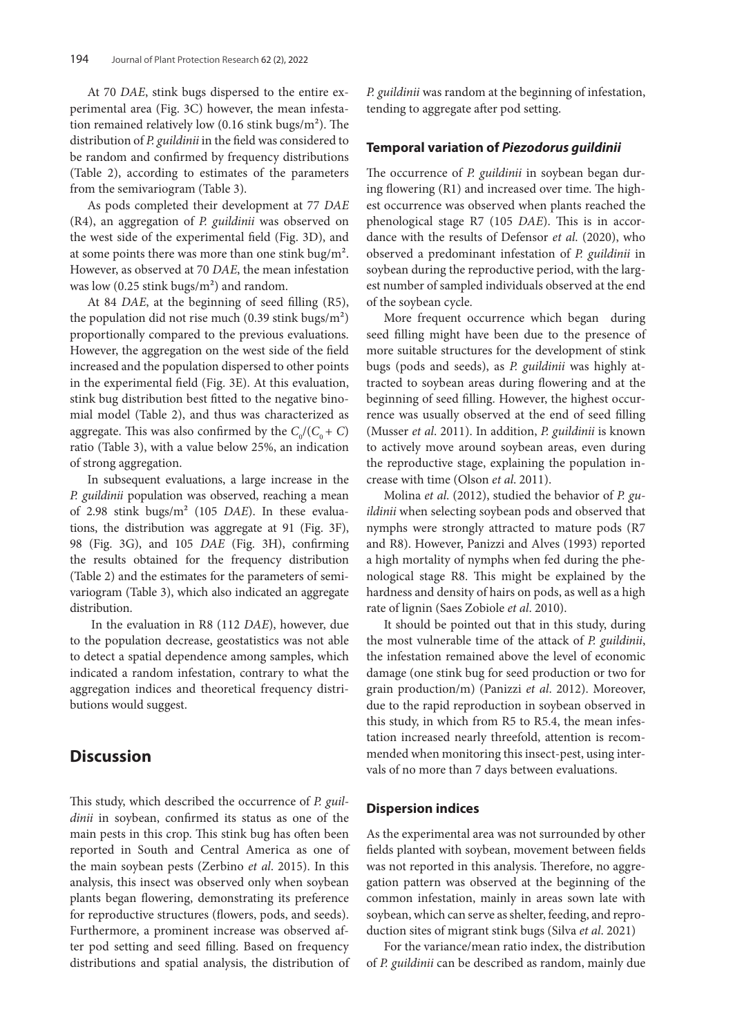At 70 *DAE*, stink bugs dispersed to the entire experimental area (Fig. 3C) however, the mean infestation remained relatively low (0.16 stink bugs/m²). The distribution of *P. guildinii* in the field was considered to be random and confirmed by frequency distributions (Table 2), according to estimates of the parameters from the semivariogram (Table 3).

As pods completed their development at 77 *DAE* (R4), an aggregation of *P. guildinii* was observed on the west side of the experimental field (Fig. 3D), and at some points there was more than one stink bug/m². However, as observed at 70 *DAE*, the mean infestation was low (0.25 stink bugs/m²) and random.

At 84 *DAE*, at the beginning of seed filling (R5), the population did not rise much  $(0.39 \text{ stink bugs/m}^2)$ proportionally compared to the previous evaluations. However, the aggregation on the west side of the field increased and the population dispersed to other points in the experimental field (Fig. 3E). At this evaluation, stink bug distribution best fitted to the negative binomial model (Table 2), and thus was characterized as aggregate. This was also confirmed by the  $C_0/(C_0 + C)$ ratio (Table 3), with a value below 25%, an indication of strong aggregation.

In subsequent evaluations, a large increase in the *P. guildinii* population was observed, reaching a mean of 2.98 stink bugs/m² (105 *DAE*). In these evaluations, the distribution was aggregate at 91 (Fig. 3F), 98 (Fig. 3G), and 105 *DAE* (Fig. 3H), confirming the results obtained for the frequency distribution (Table 2) and the estimates for the parameters of semivariogram (Table 3), which also indicated an aggregate distribution.

 In the evaluation in R8 (112 *DAE*), however, due to the population decrease, geostatistics was not able to detect a spatial dependence among samples, which indicated a random infestation, contrary to what the aggregation indices and theoretical frequency distributions would suggest.

## **Discussion**

This study, which described the occurrence of *P. guildinii* in soybean, confirmed its status as one of the main pests in this crop. This stink bug has often been reported in South and Central America as one of the main soybean pests (Zerbino *et al*. 2015). In this analysis, this insect was observed only when soybean plants began flowering, demonstrating its preference for reproductive structures (flowers, pods, and seeds). Furthermore, a prominent increase was observed after pod setting and seed filling. Based on frequency distributions and spatial analysis, the distribution of *P. guildinii* was random at the beginning of infestation, tending to aggregate after pod setting.

### **Temporal variation of** *Piezodorus guildinii*

The occurrence of *P. guildinii* in soybean began during flowering (R1) and increased over time. The highest occurrence was observed when plants reached the phenological stage R7 (105 *DAE*). This is in accordance with the results of Defensor *et al*. (2020), who observed a predominant infestation of *P. guildinii* in soybean during the reproductive period, with the largest number of sampled individuals observed at the end of the soybean cycle.

More frequent occurrence which began during seed filling might have been due to the presence of more suitable structures for the development of stink bugs (pods and seeds), as *P. guildinii* was highly attracted to soybean areas during flowering and at the beginning of seed filling. However, the highest occurrence was usually observed at the end of seed filling (Musser *et al*. 2011). In addition, *P. guildinii* is known to actively move around soybean areas, even during the reproductive stage, explaining the population increase with time (Olson *et al*. 2011).

Molina *et al*. (2012), studied the behavior of *P. guildinii* when selecting soybean pods and observed that nymphs were strongly attracted to mature pods (R7 and R8). However, Panizzi and Alves (1993) reported a high mortality of nymphs when fed during the phenological stage R8. This might be explained by the hardness and density of hairs on pods, as well as a high rate of lignin (Saes Zobiole *et al*. 2010).

It should be pointed out that in this study, during the most vulnerable time of the attack of *P. guildinii*, the infestation remained above the level of economic damage (one stink bug for seed production or two for grain production/m) (Panizzi *et al*. 2012). Moreover, due to the rapid reproduction in soybean observed in this study, in which from R5 to R5.4, the mean infestation increased nearly threefold, attention is recommended when monitoring this insect-pest, using intervals of no more than 7 days between evaluations.

### **Dispersion indices**

As the experimental area was not surrounded by other fields planted with soybean, movement between fields was not reported in this analysis. Therefore, no aggregation pattern was observed at the beginning of the common infestation, mainly in areas sown late with soybean, which can serve as shelter, feeding, and reproduction sites of migrant stink bugs (Silva *et al*. 2021)

For the variance/mean ratio index, the distribution of *P. guildinii* can be described as random, mainly due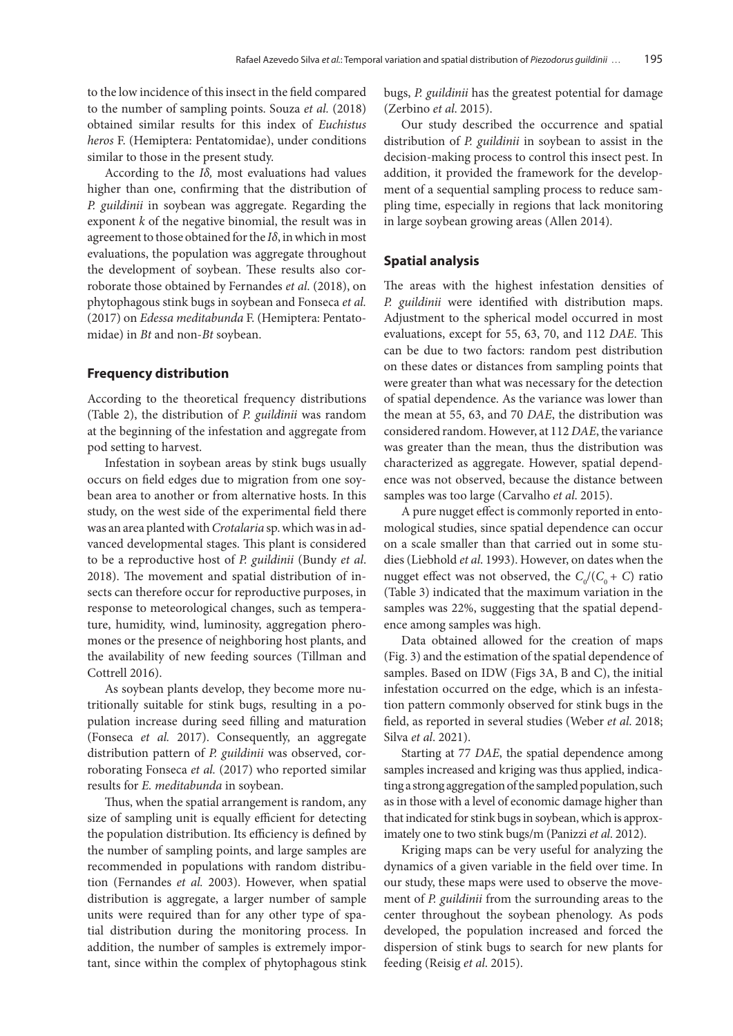to the low incidence of this insect in the field compared to the number of sampling points. Souza *et al.* (2018) obtained similar results for this index of *Euchistus heros* F. (Hemiptera: Pentatomidae), under conditions similar to those in the present study.

According to the *Iδ,* most evaluations had values higher than one, confirming that the distribution of *P. guildinii* in soybean was aggregate. Regarding the exponent *k* of the negative binomial, the result was in agreement to those obtained for the *Iδ*, in which in most evaluations, the population was aggregate throughout the development of soybean. These results also corroborate those obtained by Fernandes *et al*. (2018), on phytophagous stink bugs in soybean and Fonseca *et al.*  (2017) on *Edessa meditabunda* F. (Hemiptera: Pentatomidae) in *Bt* and non-*Bt* soybean.

#### **Frequency distribution**

According to the theoretical frequency distributions (Table 2), the distribution of *P. guildinii* was random at the beginning of the infestation and aggregate from pod setting to harvest.

Infestation in soybean areas by stink bugs usually occurs on field edges due to migration from one soybean area to another or from alternative hosts. In this study, on the west side of the experimental field there was an area planted with *Crotalaria* sp. which was in advanced developmental stages. This plant is considered to be a reproductive host of *P. guildinii* (Bundy *et al*. 2018). The movement and spatial distribution of insects can therefore occur for reproductive purposes, in response to meteorological changes, such as temperature, humidity, wind, luminosity, aggregation pheromones or the presence of neighboring host plants, and the availability of new feeding sources (Tillman and Cottrell 2016).

As soybean plants develop, they become more nutritionally suitable for stink bugs, resulting in a population increase during seed filling and maturation (Fonseca *et al.* 2017). Consequently, an aggregate distribution pattern of *P. guildinii* was observed, corroborating Fonseca *et al.* (2017) who reported similar results for *E. meditabunda* in soybean.

Thus, when the spatial arrangement is random, any size of sampling unit is equally efficient for detecting the population distribution. Its efficiency is defined by the number of sampling points, and large samples are recommended in populations with random distribution (Fernandes *et al.* 2003). However, when spatial distribution is aggregate, a larger number of sample units were required than for any other type of spatial distribution during the monitoring process. In addition, the number of samples is extremely important, since within the complex of phytophagous stink bugs, *P. guildinii* has the greatest potential for damage (Zerbino *et al*. 2015).

Our study described the occurrence and spatial distribution of *P. guildinii* in soybean to assist in the decision-making process to control this insect pest. In addition, it provided the framework for the development of a sequential sampling process to reduce sampling time, especially in regions that lack monitoring in large soybean growing areas (Allen 2014).

### **Spatial analysis**

The areas with the highest infestation densities of *P. guildinii* were identified with distribution maps. Adjustment to the spherical model occurred in most evaluations, except for 55, 63, 70, and 112 *DAE*. This can be due to two factors: random pest distribution on these dates or distances from sampling points that were greater than what was necessary for the detection of spatial dependence. As the variance was lower than the mean at 55, 63, and 70 *DAE*, the distribution was considered random. However, at 112 *DAE*, the variance was greater than the mean, thus the distribution was characterized as aggregate. However, spatial dependence was not observed, because the distance between samples was too large (Carvalho *et al*. 2015).

A pure nugget effect is commonly reported in entomological studies, since spatial dependence can occur on a scale smaller than that carried out in some studies (Liebhold *et al*. 1993). However, on dates when the nugget effect was not observed, the  $C_0/(C_0 + C)$  ratio (Table 3) indicated that the maximum variation in the samples was 22%, suggesting that the spatial dependence among samples was high.

Data obtained allowed for the creation of maps (Fig. 3) and the estimation of the spatial dependence of samples. Based on IDW (Figs 3A, B and C), the initial infestation occurred on the edge, which is an infestation pattern commonly observed for stink bugs in the field, as reported in several studies (Weber *et al*. 2018; Silva *et al*. 2021).

Starting at 77 *DAE*, the spatial dependence among samples increased and kriging was thus applied, indicating a strong aggregation of the sampled population, such as in those with a level of economic damage higher than that indicated for stink bugs in soybean, which is approximately one to two stink bugs/m (Panizzi *et al*. 2012).

Kriging maps can be very useful for analyzing the dynamics of a given variable in the field over time. In our study, these maps were used to observe the movement of *P. guildinii* from the surrounding areas to the center throughout the soybean phenology. As pods developed, the population increased and forced the dispersion of stink bugs to search for new plants for feeding (Reisig *et al*. 2015).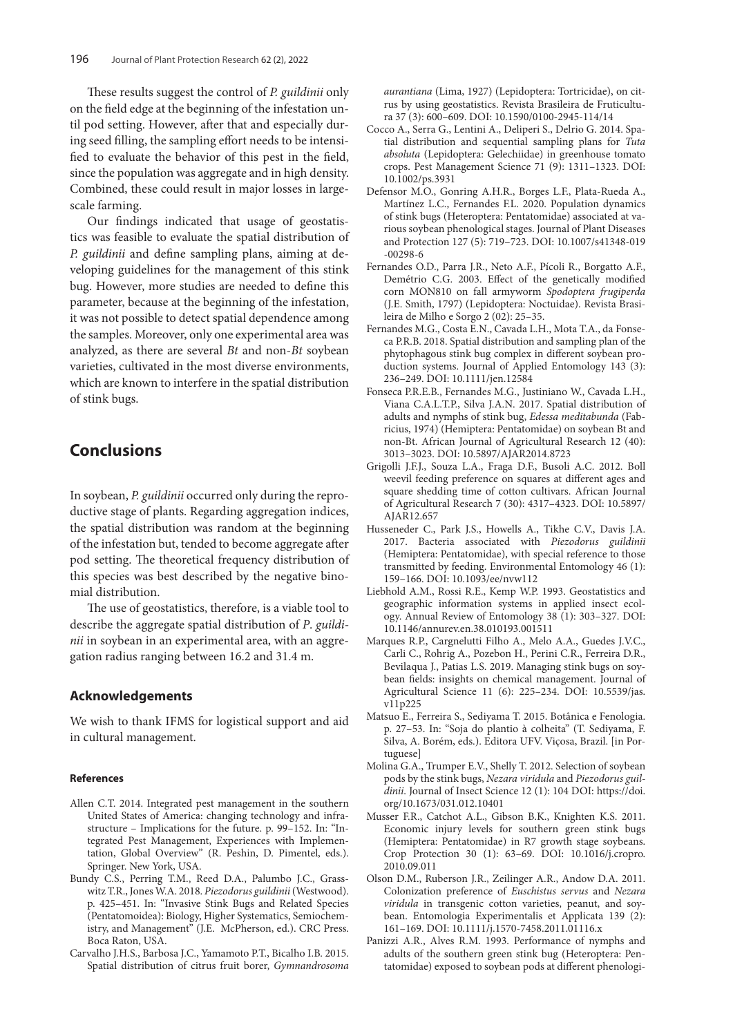These results suggest the control of *P. guildinii* only on the field edge at the beginning of the infestation until pod setting. However, after that and especially during seed filling, the sampling effort needs to be intensified to evaluate the behavior of this pest in the field, since the population was aggregate and in high density. Combined, these could result in major losses in largescale farming.

Our findings indicated that usage of geostatistics was feasible to evaluate the spatial distribution of *P. guildinii* and define sampling plans, aiming at developing guidelines for the management of this stink bug. However, more studies are needed to define this parameter, because at the beginning of the infestation, it was not possible to detect spatial dependence among the samples. Moreover, only one experimental area was analyzed, as there are several *Bt* and non-*Bt* soybean varieties, cultivated in the most diverse environments, which are known to interfere in the spatial distribution of stink bugs.

# **Conclusions**

In soybean, *P. guildinii* occurred only during the reproductive stage of plants. Regarding aggregation indices, the spatial distribution was random at the beginning of the infestation but, tended to become aggregate after pod setting. The theoretical frequency distribution of this species was best described by the negative binomial distribution.

The use of geostatistics, therefore, is a viable tool to describe the aggregate spatial distribution of *P*. *guildinii* in soybean in an experimental area, with an aggregation radius ranging between 16.2 and 31.4 m.

### **Acknowledgements**

We wish to thank IFMS for logistical support and aid in cultural management.

#### **References**

- Allen C.T. 2014. Integrated pest management in the southern United States of America: changing technology and infrastructure – Implications for the future. p. 99–152. In: "Integrated Pest Management, Experiences with Implementation, Global Overview" (R. Peshin, D. Pimentel, eds.). Springer. New York, USA.
- Bundy C.S., Perring T.M., Reed D.A., Palumbo J.C., Grasswitz T.R., Jones W.A. 2018. *Piezodorus guildinii* (Westwood). p. 425–451. In: "Invasive Stink Bugs and Related Species (Pentatomoidea): Biology, Higher Systematics, Semiochemistry, and Management" (J.E. McPherson, ed.). CRC Press. Boca Raton, USA.
- Carvalho J.H.S., Barbosa J.C., Yamamoto P.T., Bicalho I.B. 2015. Spatial distribution of citrus fruit borer, *Gymnandrosoma*

*aurantiana* (Lima, 1927) (Lepidoptera: Tortricidae), on citrus by using geostatistics. Revista Brasileira de Fruticultura 37 (3): 600–609. DOI: 10.1590/0100-2945-114/14

- Cocco A., Serra G., Lentini A., Deliperi S., Delrio G. 2014. Spatial distribution and sequential sampling plans for *Tuta absoluta* (Lepidoptera: Gelechiidae) in greenhouse tomato crops. Pest Management Science 71 (9): 1311–1323. DOI: 10.1002/ps.3931
- Defensor M.O., Gonring A.H.R., Borges L.F., Plata-Rueda A., Martínez L.C., Fernandes F.L. 2020. Population dynamics of stink bugs (Heteroptera: Pentatomidae) associated at various soybean phenological stages. Journal of Plant Diseases and Protection 127 (5): 719–723. DOI: 10.1007/s41348-019 -00298-6
- Fernandes O.D., Parra J.R., Neto A.F., Pícoli R., Borgatto A.F., Demétrio C.G. 2003. Effect of the genetically modified corn MON810 on fall armyworm *Spodoptera frugiperda* (J.E. Smith, 1797) (Lepidoptera: Noctuidae). Revista Brasileira de Milho e Sorgo 2 (02): 25–35.
- Fernandes M.G., Costa E.N., Cavada L.H., Mota T.A., da Fonseca P.R.B. 2018. Spatial distribution and sampling plan of the phytophagous stink bug complex in different soybean production systems. Journal of Applied Entomology 143 (3): 236–249. DOI: 10.1111/jen.12584
- Fonseca P.R.E.B., Fernandes M.G., Justiniano W., Cavada L.H., Viana C.A.L.T.P., Silva J.A.N. 2017. Spatial distribution of adults and nymphs of stink bug, *Edessa meditabunda* (Fabricius, 1974) (Hemiptera: Pentatomidae) on soybean Bt and non-Bt. African Journal of Agricultural Research 12 (40): 3013–3023. DOI: 10.5897/AJAR2014.8723
- Grigolli J.F.J., Souza L.A., Fraga D.F., Busoli A.C. 2012. Boll weevil feeding preference on squares at different ages and square shedding time of cotton cultivars. African Journal of Agricultural Research 7 (30): 4317–4323. DOI: 10.5897/ AJAR12.657
- Husseneder C., Park J.S., Howells A., Tikhe C.V., Davis J.A. 2017. Bacteria associated with *Piezodorus guildinii* (Hemiptera: Pentatomidae), with special reference to those transmitted by feeding. Environmental Entomology 46 (1): 159–166. DOI: 10.1093/ee/nvw112
- Liebhold A.M., Rossi R.E., Kemp W.P. 1993. Geostatistics and geographic information systems in applied insect ecology. Annual Review of Entomology 38 (1): 303–327. DOI: 10.1146/annurev.en.38.010193.001511
- Marques R.P., Cargnelutti Filho A., Melo A.A., Guedes J.V.C., Carli C., Rohrig A., Pozebon H., Perini C.R., Ferreira D.R., Bevilaqua J., Patias L.S. 2019. Managing stink bugs on soybean fields: insights on chemical management. Journal of Agricultural Science 11 (6): 225–234. DOI: 10.5539/jas. v11p225
- Matsuo E., Ferreira S., Sediyama T. 2015. Botânica e Fenologia. p. 27–53. In: "Soja do plantio à colheita" (T. Sediyama, F. Silva, A. Borém, eds.). Editora UFV. Viçosa, Brazil. [in Portuguese]
- Molina G.A., Trumper E.V., Shelly T. 2012. Selection of soybean pods by the stink bugs, *Nezara viridula* and *Piezodorus guildinii*. Journal of Insect Science 12 (1): 104 DOI: https://doi. org/10.1673/031.012.10401
- Musser F.R., Catchot A.L., Gibson B.K., Knighten K.S. 2011. Economic injury levels for southern green stink bugs (Hemiptera: Pentatomidae) in R7 growth stage soybeans. Crop Protection 30 (1): 63–69. DOI: 10.1016/j.cropro. 2010.09.011
- Olson D.M., Ruberson J.R., Zeilinger A.R., Andow D.A. 2011. Colonization preference of *Euschistus servus* and *Nezara viridula* in transgenic cotton varieties, peanut, and soybean. Entomologia Experimentalis et Applicata 139 (2): 161–169. DOI: 10.1111/j.1570-7458.2011.01116.x
- Panizzi A.R., Alves R.M. 1993. Performance of nymphs and adults of the southern green stink bug (Heteroptera: Pentatomidae) exposed to soybean pods at different phenologi-